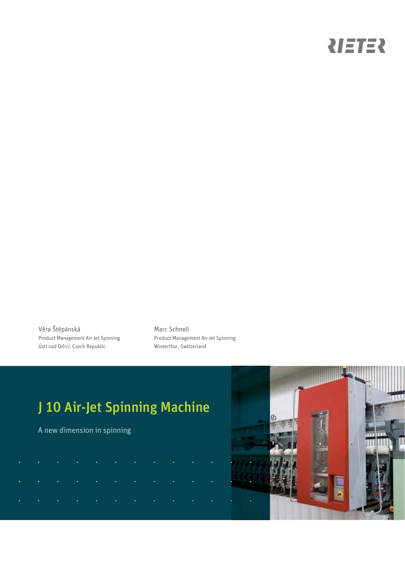# NETER

Věra Štěpánská Product Management Air-Jet Spinning Ústí nad Orlicí, Czech Republic

Marc Schnell Product Management Air-Jet Spinning Winterthur, Switzerland

# J 10 Air-Jet Spinning Machine

A new dimension in spinning

|  | $\sigma$ , and the second constraints of the second constraints of the second constraints $\sigma$      |  |  |  |  |
|--|---------------------------------------------------------------------------------------------------------|--|--|--|--|
|  | $\mathcal{A}$ is a simple point of the set of the set of the set of the set of the set of $\mathcal{A}$ |  |  |  |  |
|  | المتابعة والمتواطن والمتابعة والمتابعة والمتابعة والمتابعة                                              |  |  |  |  |

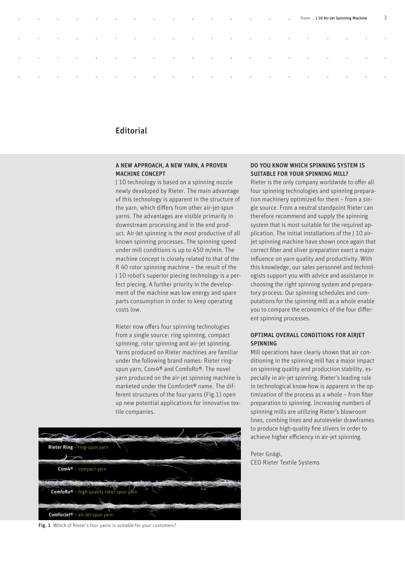## Editorial

#### A NEW APPROACH, A NEW YARN, A PROVEN MACHINE CONCEPT

J 10 technology is based on a spinning nozzle newly developed by Rieter. The main advantage of this technology is apparent in the structure of the yarn, which differs from other air-jet-spun yarns. The advantages are visible primarily in downstream processing and in the end product. Air-Jet spinning is the most productive of all known spinning processes. The spinning speed under mill conditions is up to 450 m/min. The machine concept is closely related to that of the R 40 rotor spinning machine – the result of the J 10 robot's superior piecing technology is a perfect piecing. A further priority in the development of the machine was low energy and spare parts consumption in order to keep operating costs low.

Rieter now offers four spinning technologies from a single source: ring spinning, compact spinning, rotor spinning and air-jet spinning. Yarns produced on Rieter machines are familiar under the following brand names: Rieter ringspun yarn, Com4® and ComfoRo®. The novel yarn produced on the air-jet spinning machine is marketed under the ComforJet® name. The different structures of the four yarns (Fig.1) open up new potential applications for innovative textile companies.



Fig. 1 Which of Rieter's four yarns is suitable for your customers?

#### DO YOU KNOW WHICH SPINNING SYSTEM IS SUITABLE FOR YOUR SPINNING MILL?

Rieter . J 10 Air-Jet Spinning Machin

Rieter is the only company worldwide to offer all four spinning technologies and spinning preparation machinery optimized for them – from a single source. From a neutral standpoint Rieter can therefore recommend and supply the spinning system that is most suitable for the required application. The initial installations of the J 10 airjet spinning machine have shown once again that correct fiber and sliver preparation exert a major influence on yarn quality and productivity. With this knowledge, our sales personnel and technologists support you with advice and assistance in choosing the right spinning system and preparatory process. Our spinning schedules and computations for the spinning mill as a whole enable you to compare the economics of the four different spinning processes.

#### OPTIMAL OVERALL CONDITIONS FOR AIRIET **SPINNING**

Mill operations have clearly shown that air conditioning in the spinning mill has a major impact on spinning quality and production stability, especially in air-jet spinning. Rieter's leading role in technological know-how is apparent in the optimization of the process as a whole - from fiber preparation to spinning. Increasing numbers of spinning mills are utilizing Rieter's blowroom lines, combing lines and autoleveler drawframes to produce high-quality fine slivers in order to achieve higher efficiency in air-jet spinning.

Peter Gnägi, CEO Rieter Textile Systems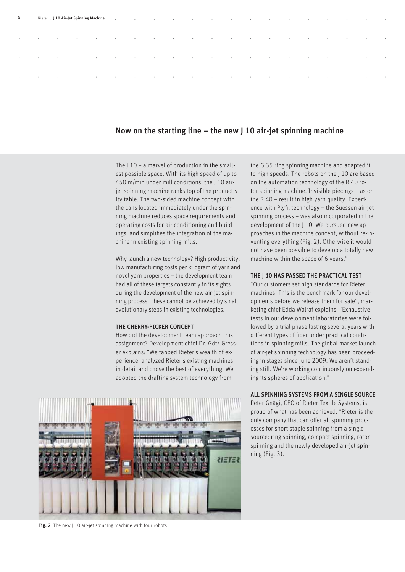| 4         |                          |                                     |                                                           |                                                                   |                   |                          |                          |                                 |                                                                                                                                                                                                                                                                                                                                                           |                                |                                   |                          |                                                                                                                 |                          | <b>Contract Contract</b> | <b>South Contract Contract Contract Contract</b> | $\sim$ 0.000 $\pm$               | <b>Contract Contract</b> |
|-----------|--------------------------|-------------------------------------|-----------------------------------------------------------|-------------------------------------------------------------------|-------------------|--------------------------|--------------------------|---------------------------------|-----------------------------------------------------------------------------------------------------------------------------------------------------------------------------------------------------------------------------------------------------------------------------------------------------------------------------------------------------------|--------------------------------|-----------------------------------|--------------------------|-----------------------------------------------------------------------------------------------------------------|--------------------------|--------------------------|--------------------------------------------------|----------------------------------|--------------------------|
| $\bullet$ | $\sim$ 100 $\pm$         | $\sim$ 100 $\pm$                    | $\sim 100$                                                | $\sim$ 0.000 $\pm$                                                | <b>Contractor</b> | <b>Contract Contract</b> | <b>Contract Contract</b> | the contract of the contract of | <b>Contract Contract</b>                                                                                                                                                                                                                                                                                                                                  | <b>Contract Contract State</b> | <b>Contract Contract Contract</b> | <b>Contract Contract</b> | <b>Contract Contract</b>                                                                                        | <b>Contract Contract</b> | <b>Contract Contract</b> | <b>State Control</b>                             | $\sim$ 0.000 $\pm$               | <b>Contract</b>          |
| $\bullet$ | $\sim 100$ km s $^{-1}$  | $\sim 10^{-10}$ and $\sim 10^{-10}$ | $\mathcal{L}(\mathcal{A})$ and $\mathcal{A}(\mathcal{A})$ | $\bullet$ and $\bullet$ and $\bullet$ and $\bullet$ and $\bullet$ |                   |                          |                          |                                 | $\bullet$ and $\bullet$ and $\bullet$ and $\bullet$ and $\bullet$ and $\bullet$ and $\bullet$ and $\bullet$ and $\bullet$ and $\bullet$ and $\bullet$ and $\bullet$ and $\bullet$ and $\bullet$ and $\bullet$ and $\bullet$ and $\bullet$ and $\bullet$ and $\bullet$ and $\bullet$ and $\bullet$ and $\bullet$ and $\bullet$ and $\bullet$ and $\bullet$ |                                |                                   |                          | the contract of the contract of the contract of the contract of the contract of the contract of the contract of |                          | <b>Contract Contract</b> | <b>Contract Contract Only</b>                    | $\sim$ 0.000 $\sim$ 0.000 $\sim$ | $\sim 100$ km s $^{-1}$  |
| $\bullet$ | <b>Contract Contract</b> | <b>Contract Contract Contract</b>   |                                                           |                                                                   |                   |                          |                          |                                 |                                                                                                                                                                                                                                                                                                                                                           |                                |                                   |                          | the contract of the contract of the contract of the contract of the contract of the contract of the contract of |                          |                          | the control of the control of the                |                                  | <b>Contractor</b>        |

### Now on the starting line – the new  $J_1$  10 air-jet spinning machine

The J 10 - a marvel of production in the smallest possible space. With its high speed of up to 450 m/min under mill conditions, the J 10 airjet spinning machine ranks top of the productivity table. The two-sided machine concept with the cans located immediately under the spinning machine reduces space requirements and operating costs for air conditioning and buildings, and simplifies the integration of the machine in existing spinning mills.

Why launch a new technology? High productivity, low manufacturing costs per kilogram of yarn and novel yarn properties – the development team had all of these targets constantly in its sights during the development of the new air-jet spinning process. These cannot be achieved by small evolutionary steps in existing technologies.

#### THE CHERRY-PICKER CONCEPT

How did the development team approach this assignment? Development chief Dr. Götz Gresser explains: "We tapped Rieter's wealth of experience, analyzed Rieter's existing machines in detail and chose the best of everything. We adopted the drafting system technology from



the G 35 ring spinning machine and adapted it to high speeds. The robots on the J 10 are based on the automation technology of the R 40 rotor spinning machine. Invisible piecings – as on the R 40 – result in high yarn quality. Experience with Plyfil technology - the Suessen air-jet spinning process – was also incorporated in the development of the J 10. We pursued new approaches in the machine concept, without re-inventing everything (Fig. 2). Otherwise it would not have been possible to develop a totally new machine within the space of 6 years."

#### THE J 10 HAS PASSED THE PRACTICAL TEST

"Our customers set high standards for Rieter machines. This is the benchmark for our developments before we release them for sale", marketing chief Edda Walraf explains. "Exhaustive tests in our development laboratories were followed by a trial phase lasting several years with different types of fiber under practical conditions in spinning mills. The global market launch of air-jet spinning technology has been proceeding in stages since June 2009. We aren't standing still. We're working continuously on expanding its spheres of application."

#### ALL SPINNING SYSTEMS FROM A SINGLE SOURCE

Peter Gnägi, CEO of Rieter Textile Systems, is proud of what has been achieved. "Rieter is the only company that can offer all spinning processes for short staple spinning from a single source: ring spinning, compact spinning, rotor spinning and the newly developed air-jet spinning (Fig. 3).

Fig. 2 The new J 10 air-jet spinning machine with four robots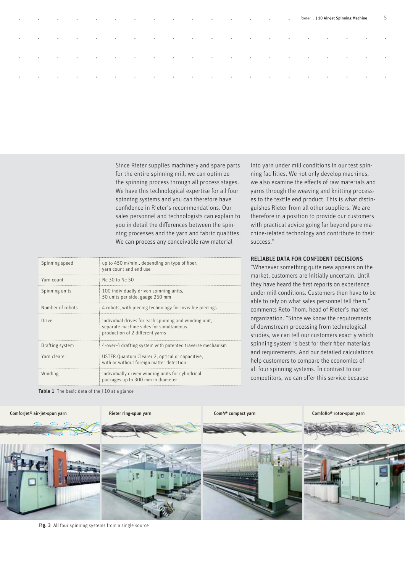| <b>Contract Contract</b><br>$\bullet$       | <b>Contract Advise</b>                | <b>Contract Ave</b>               | $\sim$ $\sim$ $\sim$     | <b>Contract Contract Contract</b> |                                        |                                   |                          |                                                                                                                 |                   |                   |                                   |                    |                                  |                                    |                          |                                     | . Rieter . J 10 Air-Jet Spinning Machine |                           | -5               |
|---------------------------------------------|---------------------------------------|-----------------------------------|--------------------------|-----------------------------------|----------------------------------------|-----------------------------------|--------------------------|-----------------------------------------------------------------------------------------------------------------|-------------------|-------------------|-----------------------------------|--------------------|----------------------------------|------------------------------------|--------------------------|-------------------------------------|------------------------------------------|---------------------------|------------------|
| $\bullet$                                   | <b>Contract Contract</b><br>$\bullet$ | <b>Contract</b>                   |                          | $\sim$ 100 $\pm$                  | <b>Contractor</b><br><b>Contractor</b> | <b>Contract Contract Contract</b> | <b>Contract Contract</b> | <b>Contract Advised</b>                                                                                         | <b>Contractor</b> | <b>Contractor</b> | <b>Contract Contract Contract</b> | <b>State State</b> |                                  | $\sim$<br><b>Contract Contract</b> | <b>Contractor</b>        |                                     | $\sim 100$ m $^{-1}$                     | $\sim 100$ km s $^{-1}$   | $\sim$ 100 $\pm$ |
| $\sim$ 0.000 $\sim$<br>$\bullet$            |                                       | <b>Contract Contract Contract</b> |                          |                                   |                                        |                                   |                          | e e e e e e e e e e e e e e                                                                                     |                   |                   |                                   |                    | $\sim$ 0.000 $\sim$ 0.000 $\sim$ | $\sim$ $\sim$ $\sim$ $\sim$        |                          | the contract of the contract of the | <b>Contract Contract Only</b>            | $\sim 10^{-10}$ m $^{-1}$ |                  |
| <b>Contract Contract</b><br><b>Contract</b> | <b>Contract Contract</b>              | <b>Contract</b>                   | <b>Contract Contract</b> | <b>Contract Contract</b>          | <b>Contractor</b>                      | <b>Contract Contract</b>          |                          | the contract of the contract of the contract of the contract of the contract of the contract of the contract of |                   |                   |                                   |                    |                                  | <b>Contract Contract</b>           | <b>Contract Contract</b> | <b>Contract Contract</b>            | <b>Contract Contract</b>                 | $\sim 10^{-10}$ m $^{-1}$ |                  |
|                                             |                                       |                                   |                          |                                   |                                        |                                   |                          |                                                                                                                 |                   |                   |                                   |                    |                                  |                                    |                          |                                     |                                          |                           |                  |

Since Rieter supplies machinery and spare parts for the entire spinning mill, we can optimize the spinning process through all process stages. We have this technological expertise for all four spinning systems and you can therefore have confidence in Rieter's recommendations. Our sales personnel and technologists can explain to you in detail the differences between the spinning processes and the yarn and fabric qualities. We can process any conceivable raw material

| Spinning speed   | up to 450 m/min., depending on type of fiber,<br>yarn count and end use                                                             |
|------------------|-------------------------------------------------------------------------------------------------------------------------------------|
| Yarn count       | Ne 30 to Ne 50                                                                                                                      |
| Spinning units   | 100 individually driven spinning units,<br>50 units per side, gauge 260 mm                                                          |
| Number of robots | 4 robots, with piecing technology for invisible piecings                                                                            |
| Drive            | individual drives for each spinning and winding unit,<br>separate machine sides for simultaneous<br>production of 2 different varns |
| Drafting system  | 4-over-4 drafting system with patented traverse mechanism                                                                           |
| Yarn clearer     | USTER Quantum Clearer 2, optical or capacitive,<br>with or without foreign matter detection                                         |
| Winding          | individually driven winding units for cylindrical<br>packages up to 300 mm in diameter                                              |

into yarn under mill conditions in our test spinning facilities. We not only develop machines, we also examine the effects of raw materials and yarns through the weaving and knitting processes to the textile end product. This is what distinguishes Rieter from all other suppliers. We are therefore in a position to provide our customers with practical advice going far beyond pure machine-related technology and contribute to their success."

### RELIABLE DATA FOR CONFIDENT DECISIONS

"Whenever something quite new appears on the market, customers are initially uncertain. Until they have heard the first reports on experience under mill conditions. Customers then have to be able to rely on what sales personnel tell them," comments Reto Thom, head of Rieter's market organization. "Since we know the requirements of downstream processing from technological studies, we can tell our customers exactly which spinning system is best for their fiber materials and requirements. And our detailed calculations help customers to compare the economics of all four spinning systems. In contrast to our competitors, we can offer this service because





Fig. 3 All four spinning systems from a single source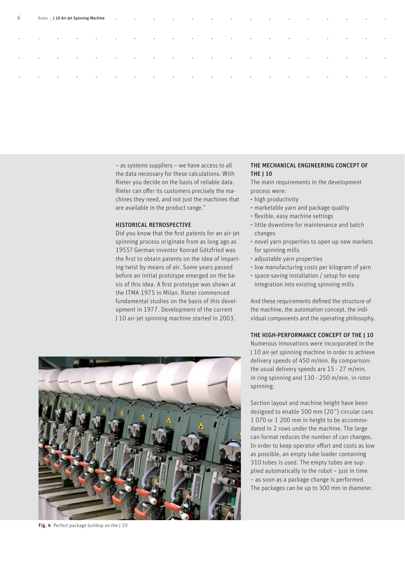| 6         |                                                                                                                                                                                                                                                                                                                                                                                                                                                           |                         |                          |                      |                                                           |                                                                                                                                                                                                                                                                                                                                                           |  |  |                                                                                                                 |                                                                               |                          |                                                  |                         | <b>Contract</b>         |
|-----------|-----------------------------------------------------------------------------------------------------------------------------------------------------------------------------------------------------------------------------------------------------------------------------------------------------------------------------------------------------------------------------------------------------------------------------------------------------------|-------------------------|--------------------------|----------------------|-----------------------------------------------------------|-----------------------------------------------------------------------------------------------------------------------------------------------------------------------------------------------------------------------------------------------------------------------------------------------------------------------------------------------------------|--|--|-----------------------------------------------------------------------------------------------------------------|-------------------------------------------------------------------------------|--------------------------|--------------------------------------------------|-------------------------|-------------------------|
| $\bullet$ | $\mathcal{L}^{\mathcal{L}}(\mathcal{L}^{\mathcal{L}}(\mathcal{L}^{\mathcal{L}}(\mathcal{L}^{\mathcal{L}}(\mathcal{L}^{\mathcal{L}}(\mathcal{L}^{\mathcal{L}}(\mathcal{L}^{\mathcal{L}}(\mathcal{L}^{\mathcal{L}}(\mathcal{L}^{\mathcal{L}}(\mathcal{L}^{\mathcal{L}}(\mathcal{L}^{\mathcal{L}}(\mathcal{L}^{\mathcal{L}}(\mathcal{L}^{\mathcal{L}}(\mathcal{L}^{\mathcal{L}}(\mathcal{L}^{\mathcal{L}}(\mathcal{L}^{\mathcal{L}}(\mathcal{L}^{\mathcal{L$ | <b>Contractor</b>       |                          |                      |                                                           |                                                                                                                                                                                                                                                                                                                                                           |  |  | the contract of the contract of the contract of the contract of the contract of the contract of the contract of |                                                                               |                          | the control of the control of the                |                         | <b>Contract</b>         |
| $\sim$    | $\sim$ 100 $\pm$                                                                                                                                                                                                                                                                                                                                                                                                                                          | $\sim 100$ km s $^{-1}$ | <b>Contract Contract</b> | $\sim$ $\sim$ $\sim$ | $\mathcal{L}^{\text{max}}$ and $\mathcal{L}^{\text{max}}$ | $\bullet$ and $\bullet$ and $\bullet$ and $\bullet$ and $\bullet$ and $\bullet$ and $\bullet$ and $\bullet$ and $\bullet$ and $\bullet$ and $\bullet$ and $\bullet$ and $\bullet$ and $\bullet$ and $\bullet$ and $\bullet$ and $\bullet$ and $\bullet$ and $\bullet$ and $\bullet$ and $\bullet$ and $\bullet$ and $\bullet$ and $\bullet$ and $\bullet$ |  |  |                                                                                                                 | $\mathbf{a}$ and $\mathbf{a}$ are associated by $\mathbf{a}$ and $\mathbf{a}$ | <b>Contract Contract</b> | <b>South Contract Contract Contract Contract</b> | $\sim$ 0.000 $^{\circ}$ | $\sim 100$ km s $^{-1}$ |
| $\bullet$ | $\alpha$ and $\alpha$ .                                                                                                                                                                                                                                                                                                                                                                                                                                   | <b>Contractor</b>       |                          |                      |                                                           |                                                                                                                                                                                                                                                                                                                                                           |  |  | the contract of the contract of the contract of the contract of the contract of the contract of the contract of |                                                                               |                          |                                                  |                         | <b>Contract</b>         |
|           |                                                                                                                                                                                                                                                                                                                                                                                                                                                           |                         |                          |                      |                                                           |                                                                                                                                                                                                                                                                                                                                                           |  |  |                                                                                                                 |                                                                               |                          |                                                  |                         |                         |

– as systems suppliers – we have access to all the data necessary for these calculations. With Rieter you decide on the basis of reliable data. Rieter can offer its customers precisely the machines they need, and not just the machines that are available in the product range."

#### HISTORICAL RETROSPECTIVE

Did you know that the first patents for an air-jet spinning process originate from as long ago as 1955? German inventor Konrad Götzfried was the first to obtain patents on the idea of imparting twist by means of air. Some years passed before an initial prototype emerged on the basis of this idea. A first prototype was shown at the ITMA 1975 in Milan. Rieter commenced fundamental studies on the basis of this development in 1977. Development of the current J 10 air-jet spinning machine started in 2003.



The main requirements in the development process were:

- high productivity
- marketable yarn and package quality •
- flexible, easy machine settings
- little downtime for maintenance and batch changes
- novel yarn properties to open up new markets for spinning mills
- adjustable yarn properties •
- low manufacturing costs per kilogram of yarn
- space-saving installation / setup for easy integration into existing spinning mills

And these requirements defined the structure of the machine, the automation concept, the individual components and the operating philosophy.

THE HIGH-PERFORMANCE CONCEPT OF THE J 10

Numerous innovations were incorporated in the J 10 air-jet spinning machine in order to achieve delivery speeds of 450 m/min. By comparison: the usual delivery speeds are 15 - 27 m/min. in ring spinning and 130 - 250 m/min. in rotor spinning.

Section layout and machine height have been designed to enable 500 mm (20˝) circular cans 1 070 or 1 200 mm in height to be accommodated in 2 rows under the machine. The large can format reduces the number of can changes. In order to keep operator effort and costs as low as possible, an empty tube loader containing 310 tubes is used. The empty tubes are supplied automatically to the robot – just in time – as soon as a package change is performed. The packages can be up to 300 mm in diameter.



Fig. 4 Perfect package buildup on the J 10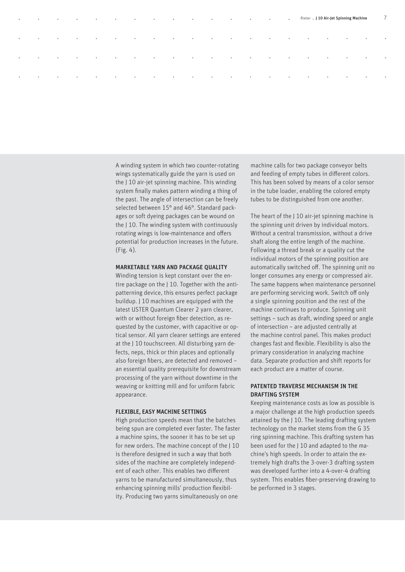| $\sim 100$ km s $^{-1}$ | <b>Contract Contract</b> | <b>Contract Contract</b>          |                          |                                   | a contract the contract of the contract of the contract of the contract of the contract of the contract of the contract of the contract of the contract of the contract of the contract of the contract of the contract of the |                        |  |                                                                                                                                                                                                                                |  |                          |                                                     |  |                           | $\overline{7}$             |
|-------------------------|--------------------------|-----------------------------------|--------------------------|-----------------------------------|--------------------------------------------------------------------------------------------------------------------------------------------------------------------------------------------------------------------------------|------------------------|--|--------------------------------------------------------------------------------------------------------------------------------------------------------------------------------------------------------------------------------|--|--------------------------|-----------------------------------------------------|--|---------------------------|----------------------------|
| $\sim 100$ km s $^{-1}$ | <b>Contract</b>          | <b>Contract Contract</b>          | <b>Contract Contract</b> | <b>Contract Contract State</b>    | <b>Contract Contract Contract</b>                                                                                                                                                                                              | <b>Contractor</b>      |  | and the contract of the contract of the contract of the contract of the contract of the contract of the contract of the contract of the contract of the contract of the contract of the contract of the contract of the contra |  | <b>Contractor</b>        | the contract of the contract of the contract of the |  |                           | $\sim 10^{-10}$ km $^{-1}$ |
| $\sim$                  | $\sim 100$ km s $^{-1}$  | <b>Contract Contract Contract</b> |                          |                                   |                                                                                                                                                                                                                                |                        |  |                                                                                                                                                                                                                                |  |                          |                                                     |  | $\sim 10^{-10}$ m $^{-1}$ | $\sim 10^{-10}$ m $^{-1}$  |
| $\sim$                  | $\sim$                   | <b>Contractor</b>                 | <b>Contractor</b>        | <b>Contract Contract Contract</b> | <b>Contractor</b>                                                                                                                                                                                                              | <b>Contract Avenue</b> |  | the contract of the contract of the contract of the contract of the contract of the contract of the contract of                                                                                                                |  | <b>Contract Contract</b> | the contract of the contract of the contract of the |  |                           | <b>Contractor</b>          |
|                         |                          |                                   |                          |                                   |                                                                                                                                                                                                                                |                        |  |                                                                                                                                                                                                                                |  |                          |                                                     |  |                           |                            |

A winding system in which two counter-rotating wings systematically guide the yarn is used on the J 10 air-jet spinning machine. This winding system finally makes pattern winding a thing of the past. The angle of intersection can be freely selected between 15° and 46°. Standard packages or soft dyeing packages can be wound on the J 10. The winding system with continuously rotating wings is low-maintenance and offers potential for production increases in the future. (Fig. 4).

#### MARKETABLE YARN AND PACKAGE QUALITY

Winding tension is kept constant over the entire package on the J 10. Together with the antipatterning device, this ensures perfect package buildup. J 10 machines are equipped with the latest USTER Quantum Clearer 2 yarn clearer, with or without foreign fiber detection, as requested by the customer, with capacitive or optical sensor. All yarn clearer settings are entered at the J 10 touchscreen. All disturbing yarn defects, neps, thick or thin places and optionally also foreign fibers, are detected and removed an essential quality prerequisite for downstream processing of the yarn without downtime in the weaving or knitting mill and for uniform fabric appearance.

#### FLEXIBLE, EASY MACHINE SETTINGS

High production speeds mean that the batches being spun are completed ever faster. The faster a machine spins, the sooner it has to be set up for new orders. The machine concept of the J 10 is therefore designed in such a way that both sides of the machine are completely independent of each other. This enables two different yarns to be manufactured simultaneously, thus enhancing spinning mills' production flexibility. Producing two yarns simultaneously on one

machine calls for two package conveyor belts and feeding of empty tubes in different colors. This has been solved by means of a color sensor in the tube loader, enabling the colored empty tubes to be distinguished from one another.

The heart of the J 10 air-jet spinning machine is the spinning unit driven by individual motors. Without a central transmission, without a drive shaft along the entire length of the machine. Following a thread break or a quality cut the individual motors of the spinning position are automatically switched off. The spinning unit no longer consumes any energy or compressed air. The same happens when maintenance personnel are performing servicing work. Switch off only a single spinning position and the rest of the machine continues to produce. Spinning unit settings – such as draft, winding speed or angle of intersection – are adjusted centrally at the machine control panel. This makes product changes fast and flexible. Flexibility is also the primary consideration in analyzing machine data. Separate production and shift reports for each product are a matter of course.

#### PATENTED TRAVERSE MECHANISM IN THE DRAFTING SYSTEM

Keeping maintenance costs as low as possible is a major challenge at the high production speeds attained by the J 10. The leading drafting system technology on the market stems from the G 35 ring spinning machine. This drafting system has been used for the J 10 and adapted to the machine's high speeds. In order to attain the extremely high drafts the 3-over-3 drafting system was developed further into a 4-over-4 drafting system. This enables fiber-preserving drawing to be performed in 3 stages.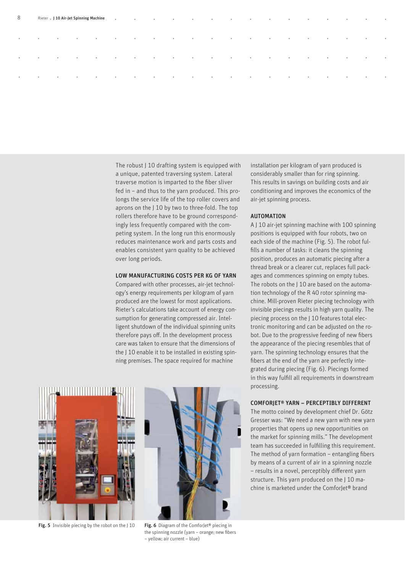| 8         |                          |                          |                           | Rieter . J 10 Air-Jet Spinning Machine |                                     |                          |                         |                                                                                                                 |                           |                         |                          | a constitution of the constitution of the constitution of the constitution of the constitution of the constitution of the constitution of the constitution of the constitution of the constitution of the constitution of the |                      |                                          |                                                                                                                                                         |                          | <b>Contract Contract of Contract Contract</b> | <b>Contract Contract</b>          | <b>Contract Contract</b> |
|-----------|--------------------------|--------------------------|---------------------------|----------------------------------------|-------------------------------------|--------------------------|-------------------------|-----------------------------------------------------------------------------------------------------------------|---------------------------|-------------------------|--------------------------|-------------------------------------------------------------------------------------------------------------------------------------------------------------------------------------------------------------------------------|----------------------|------------------------------------------|---------------------------------------------------------------------------------------------------------------------------------------------------------|--------------------------|-----------------------------------------------|-----------------------------------|--------------------------|
| $\bullet$ | $\bullet$                | <b>Contractor</b>        | <b>Contractor</b>         | <b>Contract Contract</b>               | <b>Contract Contract Contract</b>   | <b>Contract Contract</b> |                         | the contract of the contract of the contract of the contract of the contract of the contract of the contract of |                           |                         |                          |                                                                                                                                                                                                                               |                      | the contract of the contract of the con- |                                                                                                                                                         | <b>Contract Contract</b> | <b>Contract Contract Contract</b>             | $\sim$ $\sim$ $\sim$              | <b>Contract</b>          |
| $\bullet$ | $\bullet$                | $\sim 100$ m $^{-1}$     | $\sim 100$                | $\qquad \qquad \circ$                  | <b>Contract Contract</b>            | $\sim$                   | $\sim$ 0.000 $^{\circ}$ | $\sim 10^{11}$ m $^{-1}$                                                                                        | $\sim 10^{-10}$ m $^{-1}$ | $\sim$ 0.000 $^{\circ}$ | <b>Contract Contract</b> | $\sim$ 0.000 $\sim$                                                                                                                                                                                                           | $\sim 100$ m $^{-1}$ | <b>Contractor</b>                        | $\bullet$ .<br><br><br><br><br><br><br><br><br><br><br><br><br><br><br><br><br><br><br><br><br><br><br><br><br><br><br><br><br><br><br><br><br><br><br> | <b>Contractor</b>        | $\sim 10^{-10}$                               | $\sim$ 0.000 $^{\circ}$           | $\sim 100$               |
| $\bullet$ | <b>Contract Contract</b> | <b>Contract Contract</b> | $\sim 10^{-10}$ m $^{-1}$ | <b>Contract Contract Contract</b>      | the contract of the contract of the |                          |                         | the contract of the contract of the contract of the contract of the contract of the contract of the contract of |                           |                         |                          |                                                                                                                                                                                                                               |                      |                                          | the contract of the contract of the contract of the                                                                                                     |                          | <b>Contract Contract</b>                      | <b>Contract Contract Contract</b> | <b>Contractor</b>        |
|           |                          |                          |                           |                                        |                                     |                          |                         |                                                                                                                 |                           |                         |                          |                                                                                                                                                                                                                               |                      |                                          |                                                                                                                                                         |                          |                                               |                                   |                          |

The robust J 10 drafting system is equipped with a unique, patented traversing system. Lateral traverse motion is imparted to the fiber sliver fed in – and thus to the yarn produced. This prolongs the service life of the top roller covers and aprons on the J 10 by two to three-fold. The top rollers therefore have to be ground correspondingly less frequently compared with the competing system. In the long run this enormously reduces maintenance work and parts costs and enables consistent yarn quality to be achieved over long periods.

#### LOW MANUFACTURING COSTS PER KG OF YARN

Compared with other processes, air-jet technology's energy requirements per kilogram of yarn produced are the lowest for most applications. Rieter's calculations take account of energy consumption for generating compressed air. Intelligent shutdown of the individual spinning units therefore pays off. In the development process care was taken to ensure that the dimensions of the J 10 enable it to be installed in existing spinning premises. The space required for machine



Fig. 5 Invisible piecing by the robot on the J 10

Fig. 6 Diagram of the ComforJet<sup>®</sup> piecing in the spinning nozzle (yarn - orange; new fibers – yellow; air current – blue)

installation per kilogram of yarn produced is considerably smaller than for ring spinning. This results in savings on building costs and air conditioning and improves the economics of the air-jet spinning process.

#### **AUTOMATION**

A J 10 air-jet spinning machine with 100 spinning positions is equipped with four robots, two on each side of the machine (Fig. 5). The robot fulfills a number of tasks: it cleans the spinning position, produces an automatic piecing after a thread break or a clearer cut, replaces full packages and commences spinning on empty tubes. The robots on the I 10 are based on the automation technology of the R 40 rotor spinning machine. Mill-proven Rieter piecing technology with invisible piecings results in high yarn quality. The piecing process on the J 10 features total electronic monitoring and can be adjusted on the robot. Due to the progressive feeding of new fibers the appearance of the piecing resembles that of yarn. The spinning technology ensures that the fibers at the end of the yarn are perfectly integrated during piecing (Fig. 6). Piecings formed in this way fulfill all requirements in downstream processing.

#### COMFORJET® YARN – PERCEPTIBLY DIFFERENT

The motto coined by development chief Dr. Götz Gresser was: "We need a new yarn with new yarn properties that opens up new opportunities on the market for spinning mills." The development team has succeeded in fulfilling this requirement. The method of yarn formation  $-$  entangling fibers by means of a current of air in a spinning nozzle – results in a novel, perceptibly different yarn structure. This yarn produced on the J 10 machine is marketed under the Comforlet<sup>®</sup> brand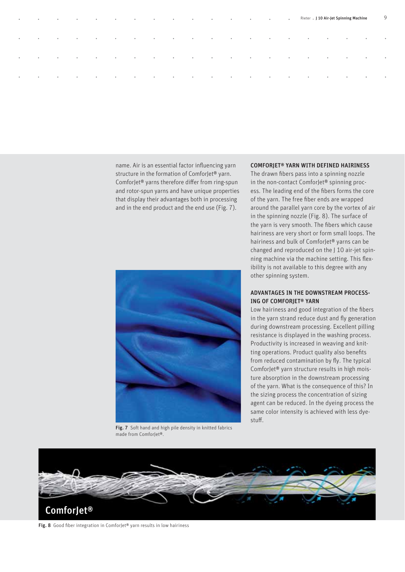| <b>Contractor</b>         | $\bullet$ |                                     | . Rieter . J 10 Air-Jet Spinning Machine                                                                        |  |  |                                                                                                                 |  |  |  |  |                         | 9 |
|---------------------------|-----------|-------------------------------------|-----------------------------------------------------------------------------------------------------------------|--|--|-----------------------------------------------------------------------------------------------------------------|--|--|--|--|-------------------------|---|
| <b>Contract</b><br>$\sim$ |           | <b>Contract Contract</b>            | the control of the control of the                                                                               |  |  | the contract of the contract of the contract of the contract of the contract of the contract of the contract of |  |  |  |  | $\sim 100$ km s $^{-1}$ |   |
| $\sim$                    | $\bullet$ | <b>State Controller State State</b> |                                                                                                                 |  |  |                                                                                                                 |  |  |  |  | <b>Contract</b>         |   |
| $\sim$                    | $\bullet$ | <b>Contract Contract</b>            | the contract of the contract of the contract of the contract of the contract of the contract of the contract of |  |  |                                                                                                                 |  |  |  |  | <b>Contract</b>         |   |
|                           |           |                                     |                                                                                                                 |  |  |                                                                                                                 |  |  |  |  |                         |   |

name. Air is an essential factor influencing yarn structure in the formation of ComforJet® yarn. ComforJet® yarns therefore differ from ring-spun and rotor-spun yarns and have unique properties that display their advantages both in processing and in the end product and the end use (Fig. 7).



Fig. 7 Soft hand and high pile density in knitted fabrics made from ComforJet®.

#### COMFORJET® YARN WITH DEFINED HAIRINESS

The drawn fibers pass into a spinning nozzle in the non-contact ComforJet® spinning process. The leading end of the fibers forms the core of the yarn. The free fiber ends are wrapped around the parallel yarn core by the vortex of air in the spinning nozzle (Fig. 8). The surface of the yarn is very smooth. The fibers which cause hairiness are very short or form small loops. The hairiness and bulk of ComforJet® yarns can be changed and reproduced on the J 10 air-jet spinning machine via the machine setting. This flexibility is not available to this degree with any other spinning system.

#### ADVANTAGES IN THE DOWNSTREAM PROCESS-ING OF COMFORJET® YARN

Low hairiness and good integration of the fibers in the yarn strand reduce dust and fly generation during downstream processing. Excellent pilling resistance is displayed in the washing process. Productivity is increased in weaving and knitting operations. Product quality also benefits from reduced contamination by fly. The typical ComforJet® yarn structure results in high moisture absorption in the downstream processing of the yarn. What is the consequence of this? In the sizing process the concentration of sizing agent can be reduced. In the dyeing process the same color intensity is achieved with less dyestuff.



Fig. 8 Good fiber integration in ComforJet® yarn results in low hairiness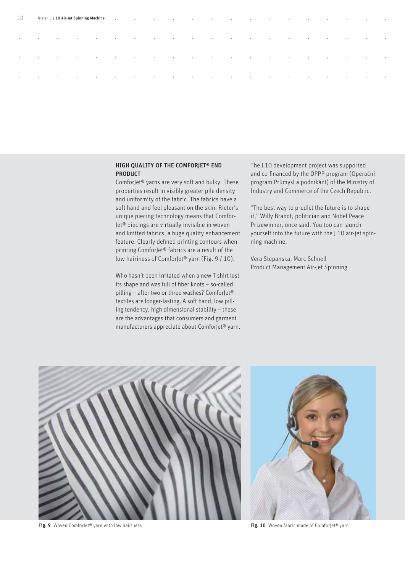| 10        |                         |                                           |                          |                                     |                               |                                   |                                                                                                                                                                                                                                       |                                 |                                   |                          |                                   |                                   | <b>Contract Contract State</b> |                                                      | <b>Contract Contract Contract Contract</b> | $\sim$ $\sim$ $\sim$        | $\sim$ $\sim$            | $\bullet$                |
|-----------|-------------------------|-------------------------------------------|--------------------------|-------------------------------------|-------------------------------|-----------------------------------|---------------------------------------------------------------------------------------------------------------------------------------------------------------------------------------------------------------------------------------|---------------------------------|-----------------------------------|--------------------------|-----------------------------------|-----------------------------------|--------------------------------|------------------------------------------------------|--------------------------------------------|-----------------------------|--------------------------|--------------------------|
| $\bullet$ | $\sim 100$ m $^{-1}$    | <b>Contractor</b>                         | <b>Contract Avenue</b>   | <b>Contract Contract</b>            | <b>Contract Contract</b>      | <b>Contractor</b>                 | the contract of the contract of the contract of the contract of the contract of the contract of the contract of                                                                                                                       |                                 |                                   |                          | <b>Contract Contract Contract</b> | the control of the control of the |                                | <b>Contract Contract</b><br><b>Contract Contract</b> |                                            | <b>Contractor</b>           | $\sim$ $\sim$ $\sim$     | <b>Contract Contract</b> |
| $\bullet$ | $\qquad \qquad \bullet$ | $\alpha$ , $\alpha$ , $\alpha$ , $\alpha$ | <b>Contract Contract</b> | $\sim 10^{-10}$ and $\sim 10^{-10}$ | <b>State Controller State</b> | <b>Contract Contract Contract</b> | $\mathbf{a}$ and $\mathbf{a}$ are associated to the contract of the contract of the contract of the contract of the contract of the contract of the contract of the contract of the contract of the contract of the contract of the c |                                 |                                   |                          | $\sim$ $\sim$ $\sim$ $\sim$       | the control of the control of the | $\sim$ 0.000 $\sim$            |                                                      | <b>Contract Contract</b>                   | $\sim$ $\sim$ $\sim$ $\sim$ | $\sim$ 0.000 $\sim$      | <b>Contract Contract</b> |
| $\bullet$ | $\sim$ 0.000 $\pm$      | $\sim 100$ m $^{-1}$                      | $\sim 100$               | <b>Contractor</b>                   | <b>Contract Contract</b>      | <b>Contract Contract</b>          | <b>Contract Contract</b>                                                                                                                                                                                                              | the contract of the contract of | <b>Contract Contract Contract</b> | <b>Contract Contract</b> | <b>Contract Contract Contract</b> | <b>Contract Contract Contract</b> | <b>Contract Ave</b>            | <b>Contractor</b>                                    | <b>Contract Contract</b>                   | <b>Contract Contract</b>    | <b>Contract Contract</b> | <b>Contract Contract</b> |
|           |                         |                                           |                          |                                     |                               |                                   |                                                                                                                                                                                                                                       |                                 |                                   |                          |                                   |                                   |                                |                                                      |                                            |                             |                          |                          |

#### HIGH QUALITY OF THE COMFORJET® END PRODUCT

ComforJet® yarns are very soft and bulky. These properties result in visibly greater pile density and uniformity of the fabric. The fabrics have a soft hand and feel pleasant on the skin. Rieter's unique piecing technology means that Comfor-Jet® piecings are virtually invisible in woven and knitted fabrics, a huge quality enhancement feature. Clearly defined printing contours when printing ComforJet® fabrics are a result of the low hairiness of ComforJet® yarn (Fig. 9 / 10).

Who hasn't been irritated when a new T-shirt lost its shape and was full of fiber knots - so-called pilling – after two or three washes? ComforJet® textiles are longer-lasting. A soft hand, low pilling tendency, high dimensional stability – these are the advantages that consumers and garment manufacturers appreciate about ComforJet® yarn. The J 10 development project was supported and co-financed by the OPPP program (Operační program Průmysl a podnikání) of the Ministry of Industry and Commerce of the Czech Republic.

"The best way to predict the future is to shape it," Willy Brandt, politician and Nobel Peace Prizewinner, once said. You too can launch yourself into the future with the J 10 air-jet spinning machine.

Vera Stepanska, Marc Schnell Product Management Air-Jet Spinning